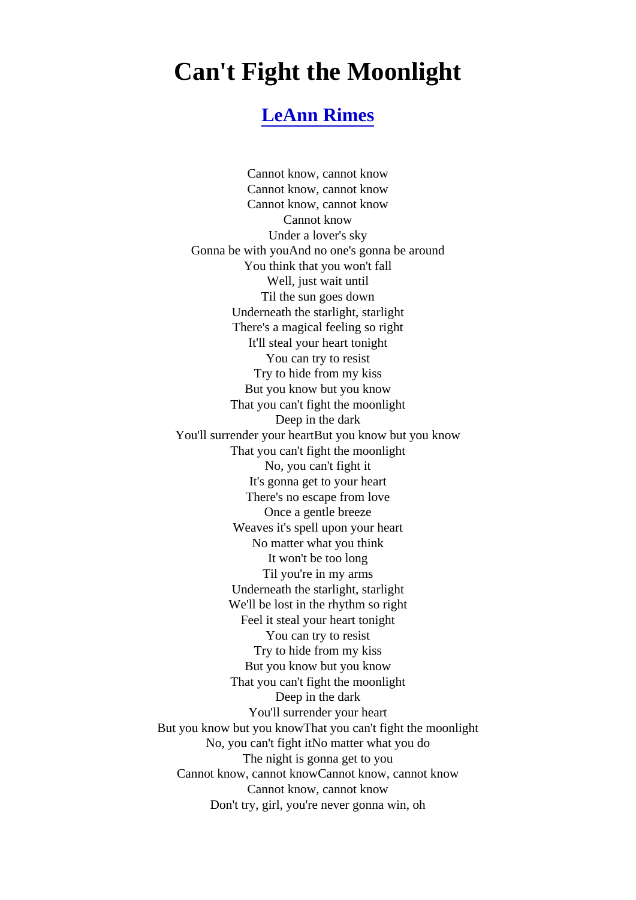## Can't Fight the Moonlight

## [LeAnn Rimes](https://www.jetlyrics.net/search.html?q=LeAnn+Rimes)

Cannot know, cannot know Cannot know, cannot know Cannot know, cannot know Cannot know Under a lover's sky Gonna be with youAnd no one's gonna be around You think that you won't fall Well, just wait until Til the sun goes down Underneath the starlight, starlight There's a magical feeling so right It'll steal your heart tonight You can try to resist Try to hide from my kiss But you know but you know That you can't fight the moonlight Deep in the dark You'll surrender your heartBut you know but you know That you can't fight the moonlight No, you can't fight it It's gonna get to your heart There's no escape from love Once a gentle breeze Weaves it's spell upon your heart No matter what you think It won't be too long Til you're in my arms Underneath the starlight, starlight We'll be lost in the rhythm so right Feel it steal your heart tonight You can try to resist Try to hide from my kiss But you know but you know That you can't fight the moonlight Deep in the dark You'll surrender your heart But you know but you knowThat you can't fight the moonlight No, you can't fight itNo matter what you do The night is gonna get to you Cannot know, cannot knowCannot know, cannot know Cannot know, cannot know Don't try, girl, you're never gonna win, oh